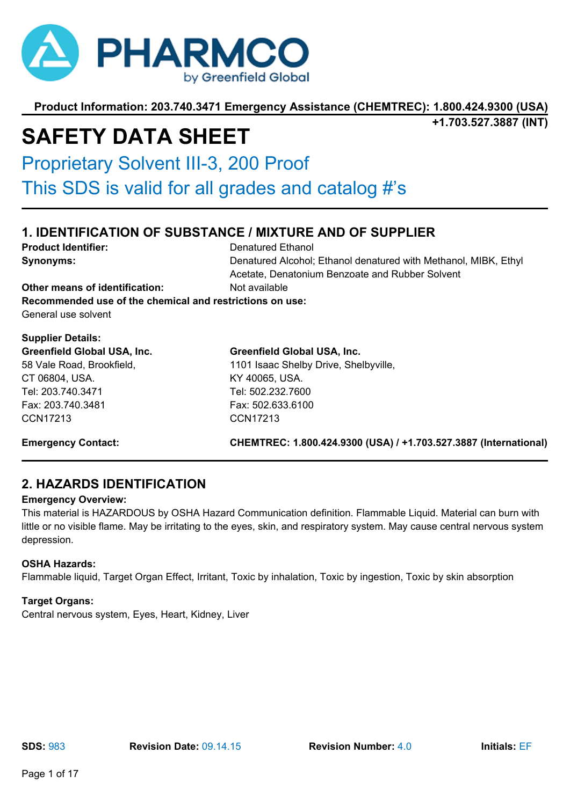

**+1.703.527.3887 (INT)**

# **SAFETY DATA SHEET**

Proprietary Solvent III-3, 200 Proof

This SDS is valid for all grades and catalog #'s

# **1. IDENTIFICATION OF SUBSTANCE / MIXTURE AND OF SUPPLIER**

**Product Identifier:** Denatured Ethanol **Synonyms: Synonyms: Denatured Alcohol; Ethanol denatured with Methanol, MIBK, Ethyl** 

Acetate, Denatonium Benzoate and Rubber Solvent

**Other means of identification:** Not available **Recommended use of the chemical and restrictions on use:**

General use solvent

# **Supplier Details:**

**Greenfield Global USA, Inc.** 58 Vale Road, Brookfield, CT 06804, USA. Tel: 203.740.3471 Fax: 203.740.3481 CCN17213

# **Greenfield Global USA, Inc.**

1101 Isaac Shelby Drive, Shelbyville, KY 40065, USA. Tel: 502.232.7600 Fax: 502.633.6100 CCN17213

**Emergency Contact: CHEMTREC: 1.800.424.9300 (USA) / +1.703.527.3887 (International)**

# **2. HAZARDS IDENTIFICATION**

# **Emergency Overview:**

This material is HAZARDOUS by OSHA Hazard Communication definition. Flammable Liquid. Material can burn with little or no visible flame. May be irritating to the eyes, skin, and respiratory system. May cause central nervous system depression.

# **OSHA Hazards:**

Flammable liquid, Target Organ Effect, Irritant, Toxic by inhalation, Toxic by ingestion, Toxic by skin absorption

# **Target Organs:**

Central nervous system, Eyes, Heart, Kidney, Liver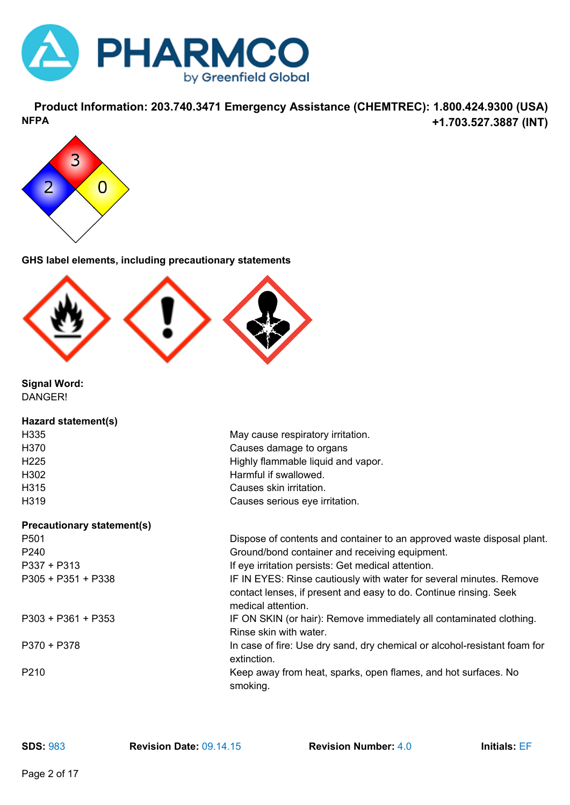

**Product Information: 203.740.3471 Emergency Assistance (CHEMTREC): 1.800.424.9300 (USA) +1.703.527.3887 (INT) NFPA**



**GHS label elements, including precautionary statements**



**Signal Word:** DANGER!

| Hazard statement(s)               |                                                                                                                                                                |
|-----------------------------------|----------------------------------------------------------------------------------------------------------------------------------------------------------------|
| H335                              | May cause respiratory irritation.                                                                                                                              |
| H370                              | Causes damage to organs                                                                                                                                        |
| H <sub>225</sub>                  | Highly flammable liquid and vapor.                                                                                                                             |
| H302                              | Harmful if swallowed.                                                                                                                                          |
| H315                              | Causes skin irritation.                                                                                                                                        |
| H319                              | Causes serious eye irritation.                                                                                                                                 |
| <b>Precautionary statement(s)</b> |                                                                                                                                                                |
| P <sub>501</sub>                  | Dispose of contents and container to an approved waste disposal plant.                                                                                         |
| P <sub>240</sub>                  | Ground/bond container and receiving equipment.                                                                                                                 |
| $P337 + P313$                     | If eye irritation persists: Get medical attention.                                                                                                             |
| $P305 + P351 + P338$              | IF IN EYES: Rinse cautiously with water for several minutes. Remove<br>contact lenses, if present and easy to do. Continue rinsing. Seek<br>medical attention. |
| P303 + P361 + P353                | IF ON SKIN (or hair): Remove immediately all contaminated clothing.<br>Rinse skin with water.                                                                  |
| $P370 + P378$                     | In case of fire: Use dry sand, dry chemical or alcohol-resistant foam for<br>extinction.                                                                       |
| P <sub>210</sub>                  | Keep away from heat, sparks, open flames, and hot surfaces. No<br>smoking.                                                                                     |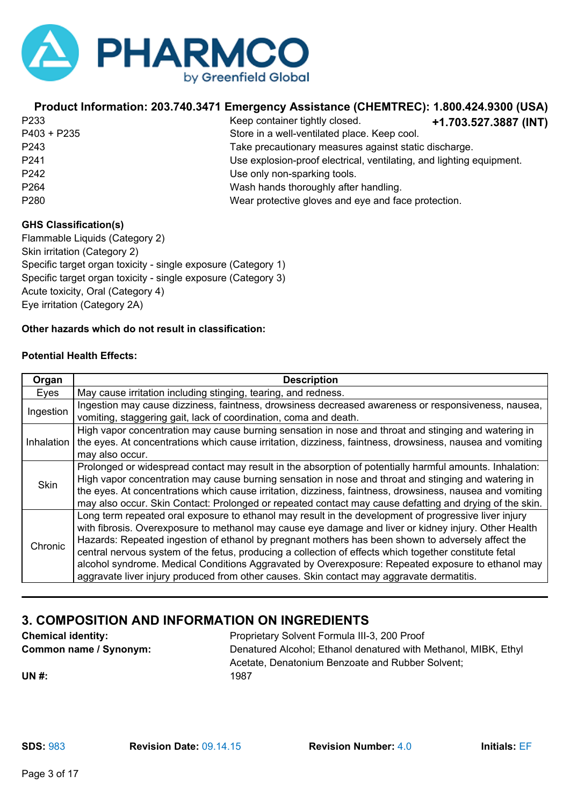

| P <sub>233</sub> | Keep container ti  |
|------------------|--------------------|
| P403 + P235      | Store in a well-ve |
| P243             | Take precautiona   |
| P241             | Use explosion-pr   |
| P242             | Use only non-spa   |
| P <sub>264</sub> | Wash hands thor    |
| P <sub>280</sub> | Wear protective    |

**+1.703.527.3887 (INT)** ightly closed. entilated place. Keep cool. ary measures against static discharge. roof electrical, ventilating, and lighting equipment. arking tools. roughly after handling. Papar protective gloves and eye and face protection.

### **GHS Classification(s)**

Flammable Liquids (Category 2) Skin irritation (Category 2) Specific target organ toxicity - single exposure (Category 1) Specific target organ toxicity - single exposure (Category 3) Acute toxicity, Oral (Category 4) Eye irritation (Category 2A)

# **Other hazards which do not result in classification:**

### **Potential Health Effects:**

| Organ       | <b>Description</b>                                                                                                                                                                                                                                                                                                                                                                                                                                                                                                                                                                                                              |
|-------------|---------------------------------------------------------------------------------------------------------------------------------------------------------------------------------------------------------------------------------------------------------------------------------------------------------------------------------------------------------------------------------------------------------------------------------------------------------------------------------------------------------------------------------------------------------------------------------------------------------------------------------|
| Eyes        | May cause irritation including stinging, tearing, and redness.                                                                                                                                                                                                                                                                                                                                                                                                                                                                                                                                                                  |
| Ingestion   | Ingestion may cause dizziness, faintness, drowsiness decreased awareness or responsiveness, nausea,<br>vomiting, staggering gait, lack of coordination, coma and death.                                                                                                                                                                                                                                                                                                                                                                                                                                                         |
| Inhalation  | High vapor concentration may cause burning sensation in nose and throat and stinging and watering in<br>the eyes. At concentrations which cause irritation, dizziness, faintness, drowsiness, nausea and vomiting<br>may also occur.                                                                                                                                                                                                                                                                                                                                                                                            |
| <b>Skin</b> | Prolonged or widespread contact may result in the absorption of potentially harmful amounts. Inhalation:<br>High vapor concentration may cause burning sensation in nose and throat and stinging and watering in<br>the eyes. At concentrations which cause irritation, dizziness, faintness, drowsiness, nausea and vomiting<br>may also occur. Skin Contact: Prolonged or repeated contact may cause defatting and drying of the skin.                                                                                                                                                                                        |
| Chronic     | Long term repeated oral exposure to ethanol may result in the development of progressive liver injury<br>with fibrosis. Overexposure to methanol may cause eye damage and liver or kidney injury. Other Health<br>Hazards: Repeated ingestion of ethanol by pregnant mothers has been shown to adversely affect the<br>central nervous system of the fetus, producing a collection of effects which together constitute fetal<br>alcohol syndrome. Medical Conditions Aggravated by Overexposure: Repeated exposure to ethanol may<br>aggravate liver injury produced from other causes. Skin contact may aggravate dermatitis. |

# **3. COMPOSITION AND INFORMATION ON INGREDIENTS**

| <b>Chemical identity:</b> | Proprietary Solvent Formula III-3, 200 Proof                    |
|---------------------------|-----------------------------------------------------------------|
| Common name / Synonym:    | Denatured Alcohol; Ethanol denatured with Methanol, MIBK, Ethyl |
|                           | Acetate, Denatonium Benzoate and Rubber Solvent;                |
| <b>UN#:</b>               | 1987                                                            |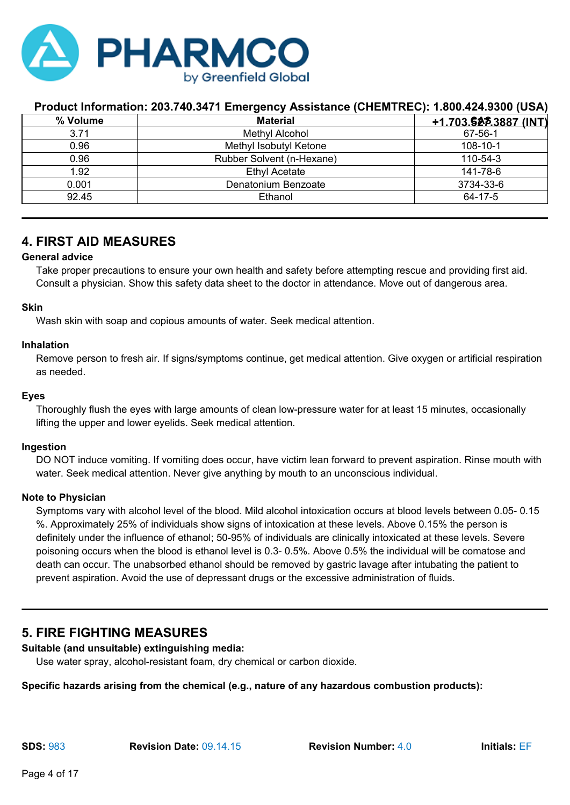

| % Volume | <b>Material</b>           | <u>+1.703.5225.3887 (INT)</u> |
|----------|---------------------------|-------------------------------|
| 3.71     | Methyl Alcohol            | 67-56-1                       |
| 0.96     | Methyl Isobutyl Ketone    | $108 - 10 - 1$                |
| 0.96     | Rubber Solvent (n-Hexane) | 110-54-3                      |
| 1.92     | <b>Ethyl Acetate</b>      | 141-78-6                      |
| 0.001    | Denatonium Benzoate       | 3734-33-6                     |
| 92.45    | Ethanol                   | 64-17-5                       |

# **4. FIRST AID MEASURES**

#### **General advice**

Take proper precautions to ensure your own health and safety before attempting rescue and providing first aid. Consult a physician. Show this safety data sheet to the doctor in attendance. Move out of dangerous area.

#### **Skin**

Wash skin with soap and copious amounts of water. Seek medical attention.

#### **Inhalation**

Remove person to fresh air. If signs/symptoms continue, get medical attention. Give oxygen or artificial respiration as needed.

#### **Eyes**

Thoroughly flush the eyes with large amounts of clean low-pressure water for at least 15 minutes, occasionally lifting the upper and lower eyelids. Seek medical attention.

#### **Ingestion**

DO NOT induce vomiting. If vomiting does occur, have victim lean forward to prevent aspiration. Rinse mouth with water. Seek medical attention. Never give anything by mouth to an unconscious individual.

#### **Note to Physician**

Symptoms vary with alcohol level of the blood. Mild alcohol intoxication occurs at blood levels between 0.05- 0.15 %. Approximately 25% of individuals show signs of intoxication at these levels. Above 0.15% the person is definitely under the influence of ethanol; 50-95% of individuals are clinically intoxicated at these levels. Severe poisoning occurs when the blood is ethanol level is 0.3- 0.5%. Above 0.5% the individual will be comatose and death can occur. The unabsorbed ethanol should be removed by gastric lavage after intubating the patient to prevent aspiration. Avoid the use of depressant drugs or the excessive administration of fluids.

# **5. FIRE FIGHTING MEASURES**

#### **Suitable (and unsuitable) extinguishing media:**

Use water spray, alcohol-resistant foam, dry chemical or carbon dioxide.

#### **Specific hazards arising from the chemical (e.g., nature of any hazardous combustion products):**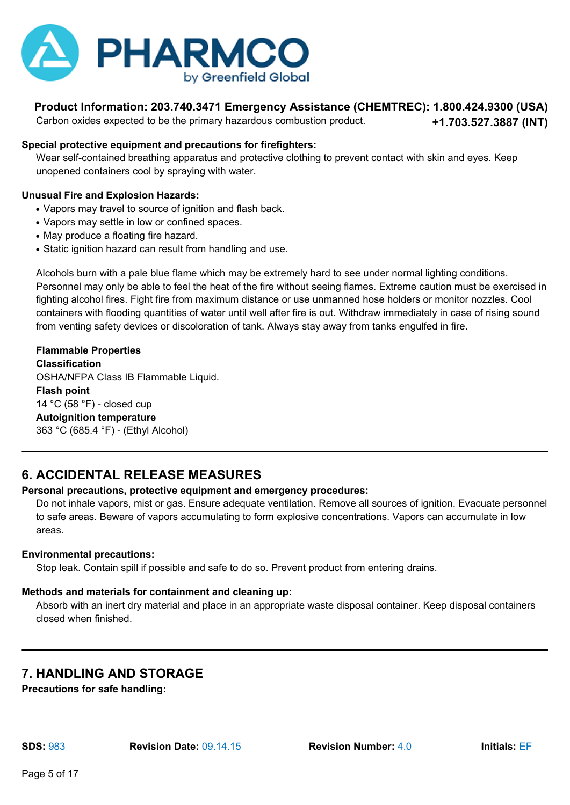

Carbon oxides expected to be the primary hazardous combustion product.

**+1.703.527.3887 (INT)**

# **Special protective equipment and precautions for firefighters:**

Wear self-contained breathing apparatus and protective clothing to prevent contact with skin and eyes. Keep unopened containers cool by spraying with water.

# **Unusual Fire and Explosion Hazards:**

- Vapors may travel to source of ignition and flash back.
- Vapors may settle in low or confined spaces.
- May produce a floating fire hazard.
- Static ignition hazard can result from handling and use.

Alcohols burn with a pale blue flame which may be extremely hard to see under normal lighting conditions. Personnel may only be able to feel the heat of the fire without seeing flames. Extreme caution must be exercised in fighting alcohol fires. Fight fire from maximum distance or use unmanned hose holders or monitor nozzles. Cool containers with flooding quantities of water until well after fire is out. Withdraw immediately in case of rising sound from venting safety devices or discoloration of tank. Always stay away from tanks engulfed in fire.

# **Flammable Properties Classification** OSHA/NFPA Class IB Flammable Liquid. **Flash point** 14 °C (58 °F) - closed cup **Autoignition temperature** 363 °C (685.4 °F) - (Ethyl Alcohol)

# **6. ACCIDENTAL RELEASE MEASURES**

# **Personal precautions, protective equipment and emergency procedures:**

Do not inhale vapors, mist or gas. Ensure adequate ventilation. Remove all sources of ignition. Evacuate personnel to safe areas. Beware of vapors accumulating to form explosive concentrations. Vapors can accumulate in low areas.

# **Environmental precautions:**

Stop leak. Contain spill if possible and safe to do so. Prevent product from entering drains.

# **Methods and materials for containment and cleaning up:**

Absorb with an inert dry material and place in an appropriate waste disposal container. Keep disposal containers closed when finished.

# **7. HANDLING AND STORAGE**

**Precautions for safe handling:**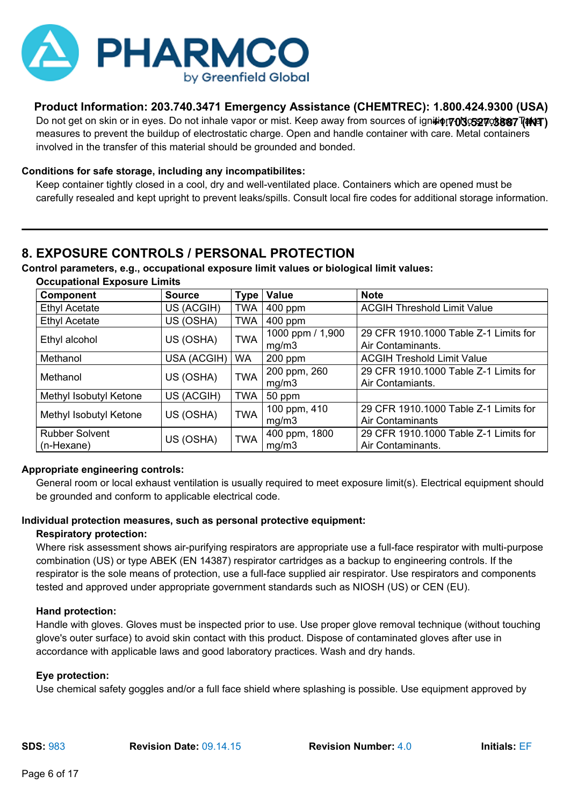

Do not get on skin or in eyes. Do not inhale vapor or mist. Keep away from sources of ign**itiφ!70l3:527:3887 [徘臼 )** measures to prevent the buildup of electrostatic charge. Open and handle container with care. Metal containers involved in the transfer of this material should be grounded and bonded.

# **Conditions for safe storage, including any incompatibilites:**

Keep container tightly closed in a cool, dry and well-ventilated place. Containers which are opened must be carefully resealed and kept upright to prevent leaks/spills. Consult local fire codes for additional storage information.

# **8. EXPOSURE CONTROLS / PERSONAL PROTECTION**

**Control parameters, e.g., occupational exposure limit values or biological limit values:**

| Component              | <b>Source</b>           | Type       | Value            | <b>Note</b>                           |
|------------------------|-------------------------|------------|------------------|---------------------------------------|
| <b>Ethyl Acetate</b>   | US (ACGIH)              | <b>TWA</b> | $400$ ppm        | <b>ACGIH Threshold Limit Value</b>    |
| <b>Ethyl Acetate</b>   | US (OSHA)               | <b>TWA</b> | 400 ppm          |                                       |
| Ethyl alcohol          | US (OSHA)               | <b>TWA</b> | 1000 ppm / 1,900 | 29 CFR 1910.1000 Table Z-1 Limits for |
|                        |                         |            | mg/m3            | Air Contaminants.                     |
| Methanol               | USA (ACGIH)             | <b>WA</b>  | 200 ppm          | <b>ACGIH Treshold Limit Value</b>     |
| Methanol               | US (OSHA)               | <b>TWA</b> | 200 ppm, 260     | 29 CFR 1910.1000 Table Z-1 Limits for |
|                        |                         |            | mg/m3            | Air Contamiants.                      |
| Methyl Isobutyl Ketone | US (ACGIH)              | <b>TWA</b> | 50 ppm           |                                       |
| Methyl Isobutyl Ketone | US (OSHA)               | <b>TWA</b> | 100 ppm, 410     | 29 CFR 1910.1000 Table Z-1 Limits for |
|                        |                         |            | mg/m3            | <b>Air Contaminants</b>               |
| <b>Rubber Solvent</b>  | <b>TWA</b><br>US (OSHA) |            | 400 ppm, 1800    | 29 CFR 1910.1000 Table Z-1 Limits for |
| (n-Hexane)             |                         |            | mg/m3            | Air Contaminants.                     |

**Occupational Exposure Limits**

# **Appropriate engineering controls:**

General room or local exhaust ventilation is usually required to meet exposure limit(s). Electrical equipment should be grounded and conform to applicable electrical code.

# **Individual protection measures, such as personal protective equipment:**

# **Respiratory protection:**

Where risk assessment shows air-purifying respirators are appropriate use a full-face respirator with multi-purpose combination (US) or type ABEK (EN 14387) respirator cartridges as a backup to engineering controls. If the respirator is the sole means of protection, use a full-face supplied air respirator. Use respirators and components tested and approved under appropriate government standards such as NIOSH (US) or CEN (EU).

# **Hand protection:**

Handle with gloves. Gloves must be inspected prior to use. Use proper glove removal technique (without touching glove's outer surface) to avoid skin contact with this product. Dispose of contaminated gloves after use in accordance with applicable laws and good laboratory practices. Wash and dry hands.

# **Eye protection:**

Use chemical safety goggles and/or a full face shield where splashing is possible. Use equipment approved by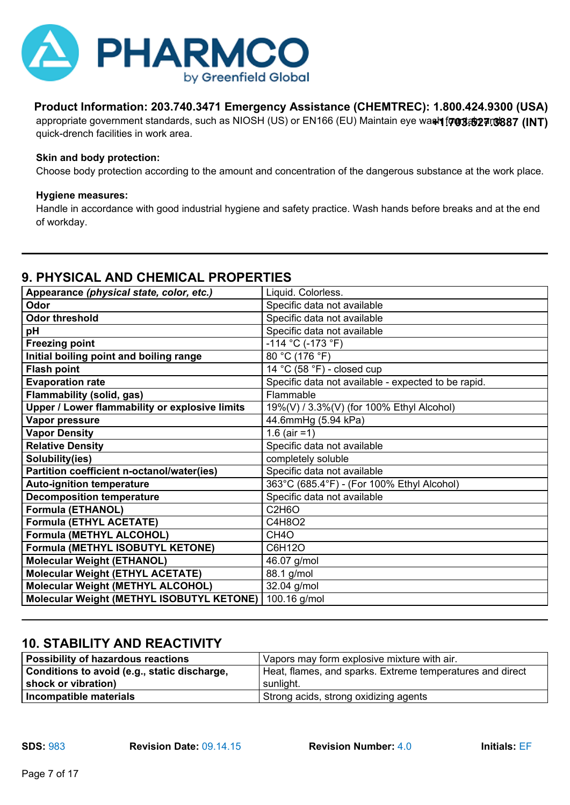

appropriate government standards, such as NIOSH (US) or EN166 (EU) Maintain eye wa**sh fontab 27.0887 (INT)** quick-drench facilities in work area.

#### **Skin and body protection:**

Choose body protection according to the amount and concentration of the dangerous substance at the work place.

#### **Hygiene measures:**

Handle in accordance with good industrial hygiene and safety practice. Wash hands before breaks and at the end of workday.

# **9. PHYSICAL AND CHEMICAL PROPERTIES**

| Appearance (physical state, color, etc.)         | Liquid. Colorless.                                  |
|--------------------------------------------------|-----------------------------------------------------|
| Odor                                             | Specific data not available                         |
| <b>Odor threshold</b>                            | Specific data not available                         |
| pH                                               | Specific data not available                         |
| <b>Freezing point</b>                            | -114 °C (-173 °F)                                   |
| Initial boiling point and boiling range          | 80 °C (176 °F)                                      |
| <b>Flash point</b>                               | 14 °C (58 °F) - closed cup                          |
| <b>Evaporation rate</b>                          | Specific data not available - expected to be rapid. |
| Flammability (solid, gas)                        | Flammable                                           |
| Upper / Lower flammability or explosive limits   | 19%(V) / 3.3%(V) (for 100% Ethyl Alcohol)           |
| Vapor pressure                                   | 44.6mmHg (5.94 kPa)                                 |
| <b>Vapor Density</b>                             | 1.6 (air =1)                                        |
| <b>Relative Density</b>                          | Specific data not available                         |
| Solubility(ies)                                  | completely soluble                                  |
| Partition coefficient n-octanol/water(ies)       | Specific data not available                         |
| <b>Auto-ignition temperature</b>                 | 363°C (685.4°F) - (For 100% Ethyl Alcohol)          |
| <b>Decomposition temperature</b>                 | Specific data not available                         |
| <b>Formula (ETHANOL)</b>                         | C <sub>2</sub> H <sub>6</sub> O                     |
| <b>Formula (ETHYL ACETATE)</b>                   | C4H8O2                                              |
| Formula (METHYL ALCOHOL)                         | CH <sub>4</sub> O                                   |
| Formula (METHYL ISOBUTYL KETONE)                 | C6H12O                                              |
| <b>Molecular Weight (ETHANOL)</b>                | 46.07 g/mol                                         |
| <b>Molecular Weight (ETHYL ACETATE)</b>          | 88.1 g/mol                                          |
| <b>Molecular Weight (METHYL ALCOHOL)</b>         | 32.04 g/mol                                         |
| <b>Molecular Weight (METHYL ISOBUTYL KETONE)</b> | 100.16 g/mol                                        |

# **10. STABILITY AND REACTIVITY**

| Possibility of hazardous reactions<br>Vapors may form explosive mixture with air. |                                                           |
|-----------------------------------------------------------------------------------|-----------------------------------------------------------|
| Conditions to avoid (e.g., static discharge,                                      | Heat, flames, and sparks. Extreme temperatures and direct |
| shock or vibration)                                                               | sunlight.                                                 |
| Incompatible materials                                                            | Strong acids, strong oxidizing agents                     |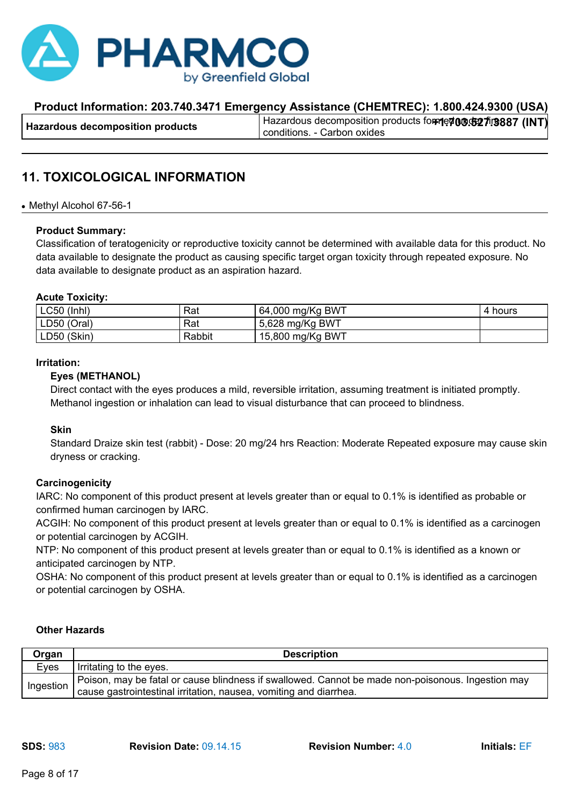

# **11. TOXICOLOGICAL INFORMATION**

#### • Methyl Alcohol 67-56-1

#### **Product Summary:**

Classification of teratogenicity or reproductive toxicity cannot be determined with available data for this product. No data available to designate the product as causing specific target organ toxicity through repeated exposure. No data available to designate product as an aspiration hazard.

#### **Acute Toxicity:**

| $LC50$ (Inhl) | Rat    | 64,000 mg/Kg BWT | hours |
|---------------|--------|------------------|-------|
| LD50 (Oral)   | Rat    | 5,628 mg/Kg BWT  |       |
| LD50 (Skin)   | Rabbit | 15,800 mg/Kg BWT |       |

#### **Irritation:**

#### **Eyes (METHANOL)**

Direct contact with the eyes produces a mild, reversible irritation, assuming treatment is initiated promptly. Methanol ingestion or inhalation can lead to visual disturbance that can proceed to blindness.

#### **Skin**

Standard Draize skin test (rabbit) - Dose: 20 mg/24 hrs Reaction: Moderate Repeated exposure may cause skin dryness or cracking.

#### **Carcinogenicity**

IARC: No component of this product present at levels greater than or equal to 0.1% is identified as probable or confirmed human carcinogen by IARC.

ACGIH: No component of this product present at levels greater than or equal to 0.1% is identified as a carcinogen or potential carcinogen by ACGIH.

NTP: No component of this product present at levels greater than or equal to 0.1% is identified as a known or anticipated carcinogen by NTP.

OSHA: No component of this product present at levels greater than or equal to 0.1% is identified as a carcinogen or potential carcinogen by OSHA.

#### **Other Hazards**

| Organ     | <b>Description</b>                                                                                |
|-----------|---------------------------------------------------------------------------------------------------|
| Eyes      | Irritating to the eyes.                                                                           |
| Ingestion | Poison, may be fatal or cause blindness if swallowed. Cannot be made non-poisonous. Ingestion may |
|           | cause gastrointestinal irritation, nausea, vomiting and diarrhea.                                 |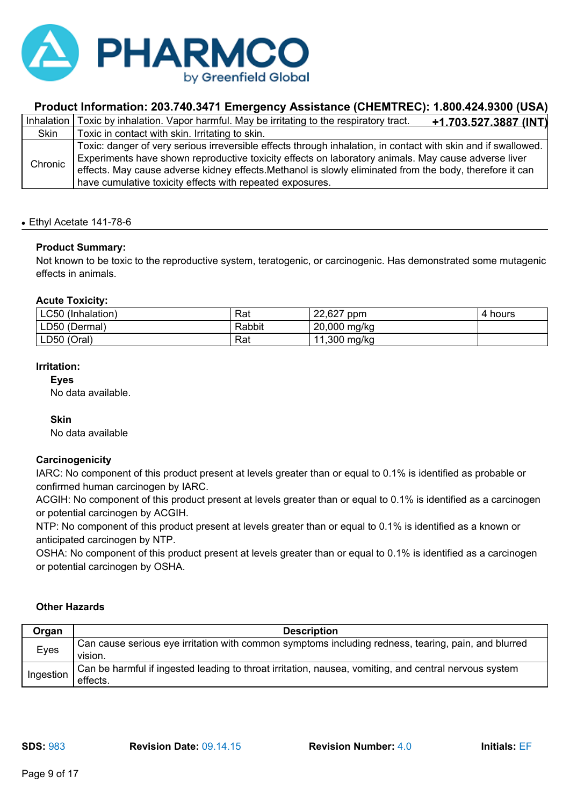

|         | Inhalation   Toxic by inhalation. Vapor harmful. May be irritating to the respiratory tract.<br><u>+1.703.527.3887 (INT)</u>                                                                                                                                                                                                                                                                  |
|---------|-----------------------------------------------------------------------------------------------------------------------------------------------------------------------------------------------------------------------------------------------------------------------------------------------------------------------------------------------------------------------------------------------|
| Skin    | Toxic in contact with skin. Irritating to skin.                                                                                                                                                                                                                                                                                                                                               |
| Chronic | Toxic: danger of very serious irreversible effects through inhalation, in contact with skin and if swallowed.<br>Experiments have shown reproductive toxicity effects on laboratory animals. May cause adverse liver<br>effects. May cause adverse kidney effects. Methanol is slowly eliminated from the body, therefore it can<br>have cumulative toxicity effects with repeated exposures. |

#### ● Ethyl Acetate 141-78-6

#### **Product Summary:**

Not known to be toxic to the reproductive system, teratogenic, or carcinogenic. Has demonstrated some mutagenic effects in animals.

### **Acute Toxicity:**

| <b>LC50</b><br>(Inhalation) | Rat    | 22,627<br>ppm    | hours<br>4 |
|-----------------------------|--------|------------------|------------|
| LD50 (Dermal)               | Rabbit | 20,000 mg/kg     |            |
| LD50 (Oral)                 | Rat    | .300 mg/kg<br>11 |            |

#### **Irritation:**

#### **Eyes**

No data available.

#### **Skin**

No data available

# **Carcinogenicity**

IARC: No component of this product present at levels greater than or equal to 0.1% is identified as probable or confirmed human carcinogen by IARC.

ACGIH: No component of this product present at levels greater than or equal to 0.1% is identified as a carcinogen or potential carcinogen by ACGIH.

NTP: No component of this product present at levels greater than or equal to 0.1% is identified as a known or anticipated carcinogen by NTP.

OSHA: No component of this product present at levels greater than or equal to 0.1% is identified as a carcinogen or potential carcinogen by OSHA.

#### **Other Hazards**

| Organ     | <b>Description</b>                                                                                                |
|-----------|-------------------------------------------------------------------------------------------------------------------|
| Eyes      | Can cause serious eye irritation with common symptoms including redness, tearing, pain, and blurred<br>vision.    |
| Ingestion | Can be harmful if ingested leading to throat irritation, nausea, vomiting, and central nervous system<br>effects. |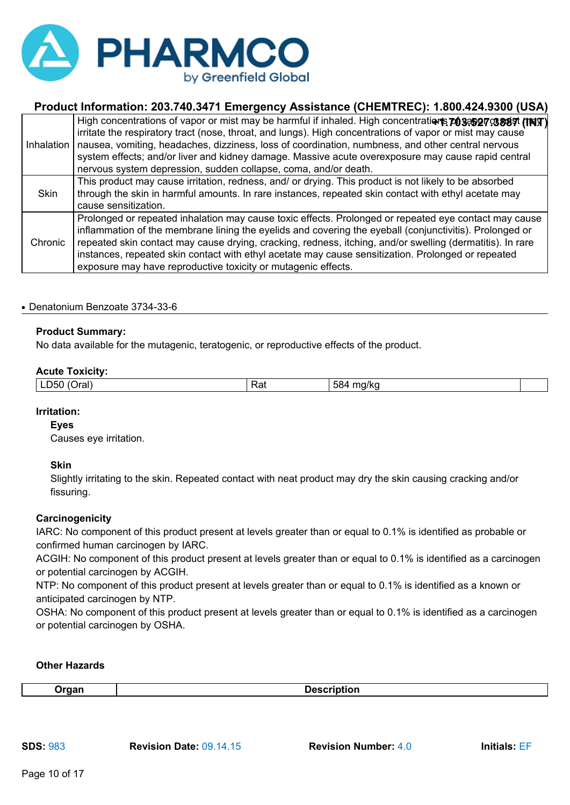

|             | High concentrations of vapor or mist may be harmful if inhaled. High concentrations 703352703887 (TNT)<br>irritate the respiratory tract (nose, throat, and lungs). High concentrations of vapor or mist may cause<br>Inhalation   nausea, vomiting, headaches, dizziness, loss of coordination, numbness, and other central nervous<br>system effects; and/or liver and kidney damage. Massive acute overexposure may cause rapid central<br>nervous system depression, sudden collapse, coma, and/or death. |
|-------------|---------------------------------------------------------------------------------------------------------------------------------------------------------------------------------------------------------------------------------------------------------------------------------------------------------------------------------------------------------------------------------------------------------------------------------------------------------------------------------------------------------------|
| <b>Skin</b> | This product may cause irritation, redness, and/ or drying. This product is not likely to be absorbed<br>through the skin in harmful amounts. In rare instances, repeated skin contact with ethyl acetate may<br>cause sensitization.                                                                                                                                                                                                                                                                         |
| Chronic     | Prolonged or repeated inhalation may cause toxic effects. Prolonged or repeated eye contact may cause<br>inflammation of the membrane lining the eyelids and covering the eyeball (conjunctivitis). Prolonged or<br>repeated skin contact may cause drying, cracking, redness, itching, and/or swelling (dermatitis). In rare<br>instances, repeated skin contact with ethyl acetate may cause sensitization. Prolonged or repeated<br>exposure may have reproductive toxicity or mutagenic effects.          |

#### ● Denatonium Benzoate 3734-33-6

# **Product Summary:**

No data available for the mutagenic, teratogenic, or reproductive effects of the product.

#### **Acute Toxicity:**

| <b>1</b><br>ЭU<br>ı aı<br>-- | Rat | --<br>$\mathbf{r}$<br>11 C<br>၁၀٬<br>. . |  |
|------------------------------|-----|------------------------------------------|--|
|                              |     |                                          |  |

#### **Irritation:**

**Eyes**

Causes eye irritation.

**Skin**

Slightly irritating to the skin. Repeated contact with neat product may dry the skin causing cracking and/or fissuring.

#### **Carcinogenicity**

IARC: No component of this product present at levels greater than or equal to 0.1% is identified as probable or confirmed human carcinogen by IARC.

ACGIH: No component of this product present at levels greater than or equal to 0.1% is identified as a carcinogen or potential carcinogen by ACGIH.

NTP: No component of this product present at levels greater than or equal to 0.1% is identified as a known or anticipated carcinogen by NTP.

OSHA: No component of this product present at levels greater than or equal to 0.1% is identified as a carcinogen or potential carcinogen by OSHA.

#### **Other Hazards**

**Organ Description**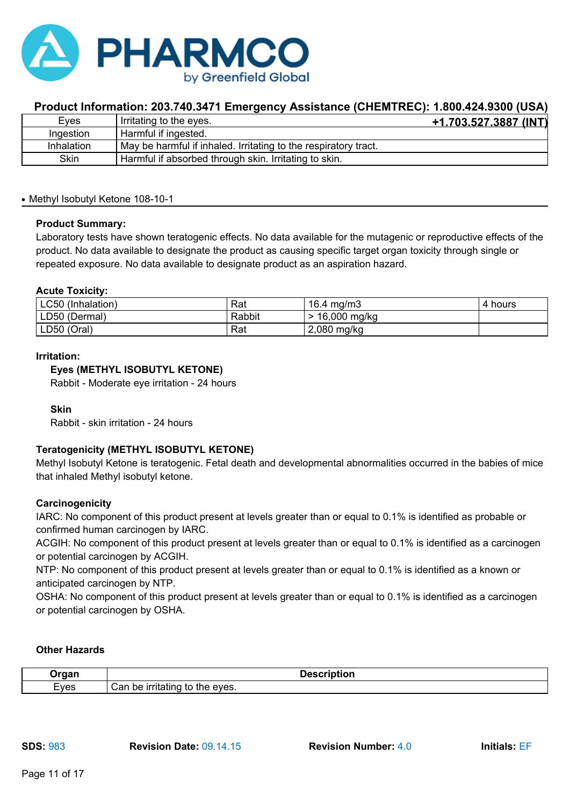

| Eves       | Irritating to the eyes.                                         | <u>+1.703.527.3887 (INT)</u> |
|------------|-----------------------------------------------------------------|------------------------------|
| Ingestion  | Harmful if ingested.                                            |                              |
| Inhalation | May be harmful if inhaled. Irritating to the respiratory tract. |                              |
| Skin       | Harmful if absorbed through skin. Irritating to skin.           |                              |

#### • Methyl Isobutyl Ketone 108-10-1

#### **Product Summary:**

Laboratory tests have shown teratogenic effects. No data available for the mutagenic or reproductive effects of the product. No data available to designate the product as causing specific target organ toxicity through single or repeated exposure. No data available to designate product as an aspiration hazard.

#### **Acute Toxicity:**

| <b>LC50</b><br>(Inhalation) | Rat    | 16.4 $mg/m3$   | 4 hours |
|-----------------------------|--------|----------------|---------|
| LD50<br>(Dermal)            | Rabbit | $16,000$ mg/kg |         |
| LD50 (Oral)                 | Rat    | 2,080<br>mg/kg |         |

#### **Irritation:**

### **Eyes (METHYL ISOBUTYL KETONE)**

Rabbit - Moderate eye irritation - 24 hours

#### **Skin**

Rabbit - skin irritation - 24 hours

# **Teratogenicity (METHYL ISOBUTYL KETONE)**

Methyl Isobutyl Ketone is teratogenic. Fetal death and developmental abnormalities occurred in the babies of mice that inhaled Methyl isobutyl ketone.

#### **Carcinogenicity**

IARC: No component of this product present at levels greater than or equal to 0.1% is identified as probable or confirmed human carcinogen by IARC.

ACGIH: No component of this product present at levels greater than or equal to 0.1% is identified as a carcinogen or potential carcinogen by ACGIH.

NTP: No component of this product present at levels greater than or equal to 0.1% is identified as a known or anticipated carcinogen by NTP.

OSHA: No component of this product present at levels greater than or equal to 0.1% is identified as a carcinogen or potential carcinogen by OSHA.

#### **Other Hazards**

| Draan | .<br>ription<br>レセコし                               |
|-------|----------------------------------------------------|
| Eves  | ∴an<br>be<br>.<br>----<br>eves.<br>шна<br>TC.<br>. |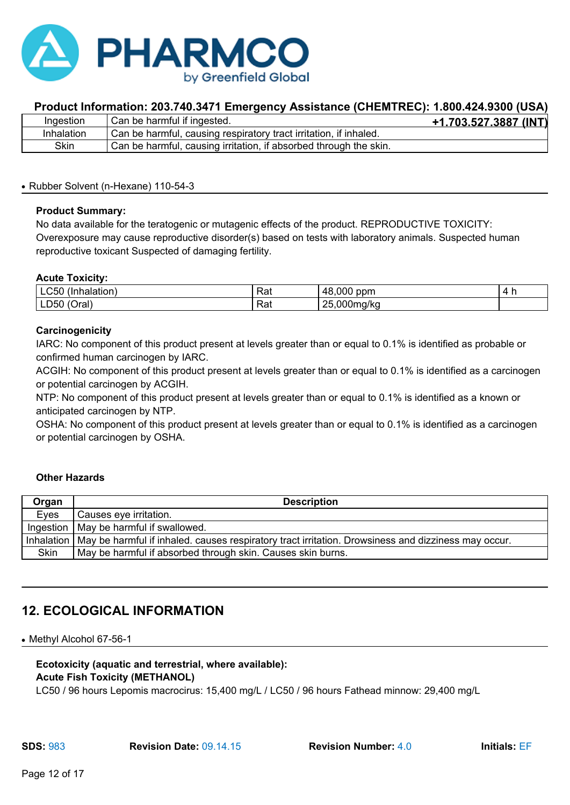

| Ingestion  | Can be harmful if ingested.                                       | +1.703.527.3887 (INT) |
|------------|-------------------------------------------------------------------|-----------------------|
| Inhalation | Can be harmful, causing respiratory tract irritation, if inhaled. |                       |
| Skin       | Can be harmful, causing irritation, if absorbed through the skin. |                       |

#### • Rubber Solvent (n-Hexane) 110-54-3

### **Product Summary:**

No data available for the teratogenic or mutagenic effects of the product. REPRODUCTIVE TOXICITY: Overexposure may cause reproductive disorder(s) based on tests with laboratory animals. Suspected human reproductive toxicant Suspected of damaging fertility.

### **Acute Toxicity:**

| -----<br>JC.<br>паютк<br>IJН                       | -<br>്<br>παι                   | ,000<br>10.<br>ppm<br>48<br>™         |  |
|----------------------------------------------------|---------------------------------|---------------------------------------|--|
| $\cdot$<br>∽<br>LD50 <sup>7</sup><br>aro I<br>Viai | $\overline{\phantom{a}}$<br>Rat | $\sim$<br>つに<br>000ma/ka.<br>∼<br>. . |  |

### **Carcinogenicity**

IARC: No component of this product present at levels greater than or equal to 0.1% is identified as probable or confirmed human carcinogen by IARC.

ACGIH: No component of this product present at levels greater than or equal to 0.1% is identified as a carcinogen or potential carcinogen by ACGIH.

NTP: No component of this product present at levels greater than or equal to 0.1% is identified as a known or anticipated carcinogen by NTP.

OSHA: No component of this product present at levels greater than or equal to 0.1% is identified as a carcinogen or potential carcinogen by OSHA.

#### **Other Hazards**

| Organ       | <b>Description</b>                                                                                               |
|-------------|------------------------------------------------------------------------------------------------------------------|
| Eyes        | Causes eye irritation.                                                                                           |
|             | Ingestion   May be harmful if swallowed.                                                                         |
|             | Inhalation   May be harmful if inhaled. causes respiratory tract irritation. Drowsiness and dizziness may occur. |
| <b>Skin</b> | May be harmful if absorbed through skin. Causes skin burns.                                                      |

# **12. ECOLOGICAL INFORMATION**

• Methyl Alcohol 67-56-1

### **Ecotoxicity (aquatic and terrestrial, where available): Acute Fish Toxicity (METHANOL)**

LC50 / 96 hours Lepomis macrocirus: 15,400 mg/L / LC50 / 96 hours Fathead minnow: 29,400 mg/L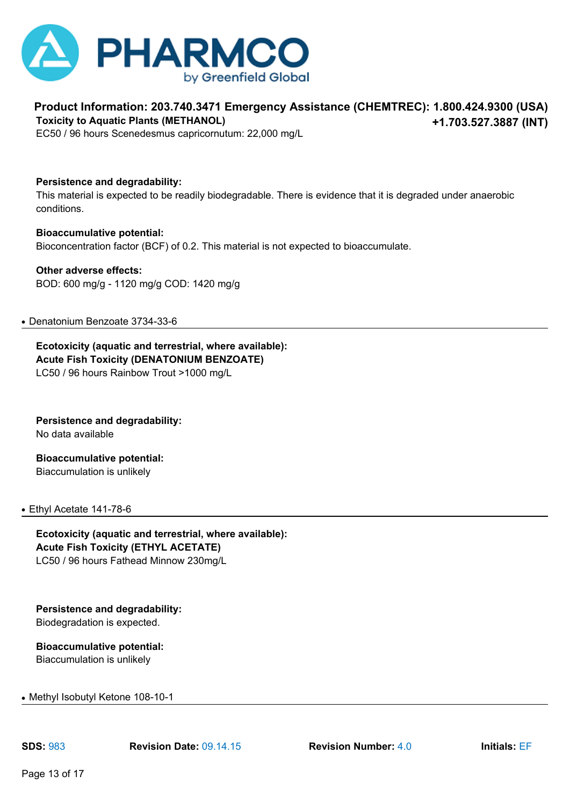

#### **Product Information: 203.740.3471 Emergency Assistance (CHEMTREC): 1.800.424.9300 (USA) +1.703.527.3887 (INT) Toxicity to Aquatic Plants (METHANOL)**

EC50 / 96 hours Scenedesmus capricornutum: 22,000 mg/L

**Persistence and degradability:**

This material is expected to be readily biodegradable. There is evidence that it is degraded under anaerobic conditions.

**Bioaccumulative potential:** Bioconcentration factor (BCF) of 0.2. This material is not expected to bioaccumulate.

**Other adverse effects:** BOD: 600 mg/g - 1120 mg/g COD: 1420 mg/g

#### ● Denatonium Benzoate 3734-33-6

**Ecotoxicity (aquatic and terrestrial, where available): Acute Fish Toxicity (DENATONIUM BENZOATE)** LC50 / 96 hours Rainbow Trout >1000 mg/L

**Persistence and degradability:** No data available

**Bioaccumulative potential:** Biaccumulation is unlikely

#### ● Ethyl Acetate 141-78-6

**Ecotoxicity (aquatic and terrestrial, where available): Acute Fish Toxicity (ETHYL ACETATE)** LC50 / 96 hours Fathead Minnow 230mg/L

**Persistence and degradability:** Biodegradation is expected.

**Bioaccumulative potential:** Biaccumulation is unlikely

• Methyl Isobutyl Ketone 108-10-1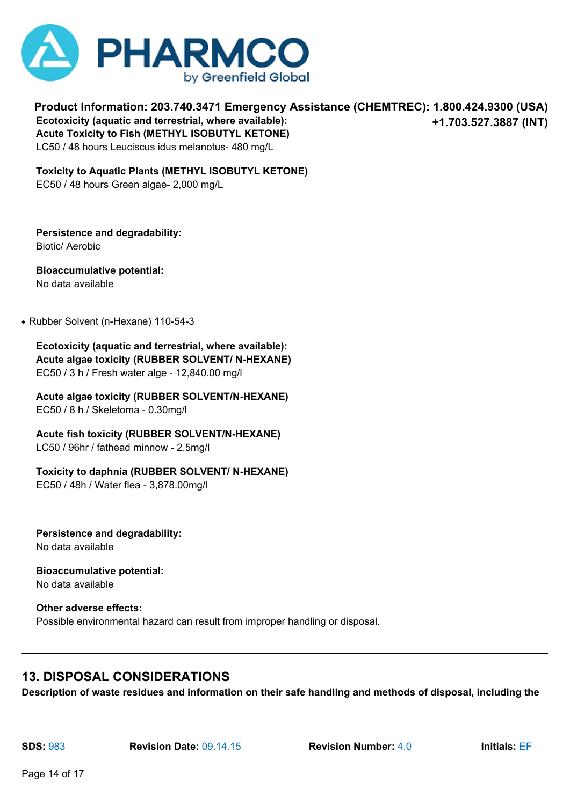

**Product Information: 203.740.3471 Emergency Assistance (CHEMTREC): 1.800.424.9300 (USA) +1.703.527.3887 (INT) Ecotoxicity (aquatic and terrestrial, where available): Acute Toxicity to Fish (METHYL ISOBUTYL KETONE)** LC50 / 48 hours Leuciscus idus melanotus- 480 mg/L

**Toxicity to Aquatic Plants (METHYL ISOBUTYL KETONE)** EC50 / 48 hours Green algae- 2,000 mg/L

**Persistence and degradability:** Biotic/ Aerobic

**Bioaccumulative potential:** No data available

• Rubber Solvent (n-Hexane) 110-54-3

**Ecotoxicity (aquatic and terrestrial, where available): Acute algae toxicity (RUBBER SOLVENT/ N-HEXANE)** EC50 / 3 h / Fresh water alge - 12,840.00 mg/l

**Acute algae toxicity (RUBBER SOLVENT/N-HEXANE)** EC50 / 8 h / Skeletoma - 0.30mg/l

**Acute fish toxicity (RUBBER SOLVENT/N-HEXANE)** LC50 / 96hr / fathead minnow - 2.5mg/l

**Toxicity to daphnia (RUBBER SOLVENT/ N-HEXANE)**

EC50 / 48h / Water flea - 3,878.00mg/l

**Persistence and degradability:** No data available

**Bioaccumulative potential:** No data available

**Other adverse effects:** Possible environmental hazard can result from improper handling or disposal.

# **13. DISPOSAL CONSIDERATIONS**

**Description of waste residues and information on their safe handling and methods of disposal, including the**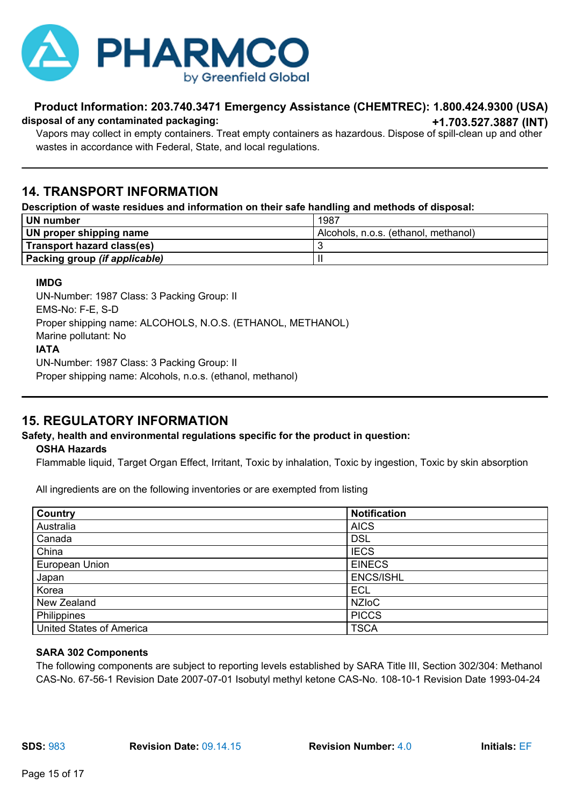

#### **Product Information: 203.740.3471 Emergency Assistance (CHEMTREC): 1.800.424.9300 (USA) +1.703.527.3887 (INT) disposal of any contaminated packaging:**

Vapors may collect in empty containers. Treat empty containers as hazardous. Dispose of spill-clean up and other wastes in accordance with Federal, State, and local regulations.

# **14. TRANSPORT INFORMATION**

### **Description of waste residues and information on their safe handling and methods of disposal:**

| UN number                     | 1987                                 |
|-------------------------------|--------------------------------------|
| UN proper shipping name       | Alcohols, n.o.s. (ethanol, methanol) |
| Transport hazard class(es)    |                                      |
| Packing group (if applicable) |                                      |

# **IMDG**

UN-Number: 1987 Class: 3 Packing Group: II EMS-No: F-E, S-D Proper shipping name: ALCOHOLS, N.O.S. (ETHANOL, METHANOL) Marine pollutant: No **IATA** UN-Number: 1987 Class: 3 Packing Group: II Proper shipping name: Alcohols, n.o.s. (ethanol, methanol)

# **15. REGULATORY INFORMATION**

# **Safety, health and environmental regulations specific for the product in question:**

# **OSHA Hazards**

Flammable liquid, Target Organ Effect, Irritant, Toxic by inhalation, Toxic by ingestion, Toxic by skin absorption

All ingredients are on the following inventories or are exempted from listing

| Country                         | <b>Notification</b> |
|---------------------------------|---------------------|
| Australia                       | <b>AICS</b>         |
| Canada                          | <b>DSL</b>          |
| China                           | <b>IECS</b>         |
| European Union                  | <b>EINECS</b>       |
| Japan                           | <b>ENCS/ISHL</b>    |
| Korea                           | <b>ECL</b>          |
| New Zealand                     | <b>NZIoC</b>        |
| Philippines                     | <b>PICCS</b>        |
| <b>United States of America</b> | <b>TSCA</b>         |

#### **SARA 302 Components**

The following components are subject to reporting levels established by SARA Title III, Section 302/304: Methanol CAS-No. 67-56-1 Revision Date 2007-07-01 Isobutyl methyl ketone CAS-No. 108-10-1 Revision Date 1993-04-24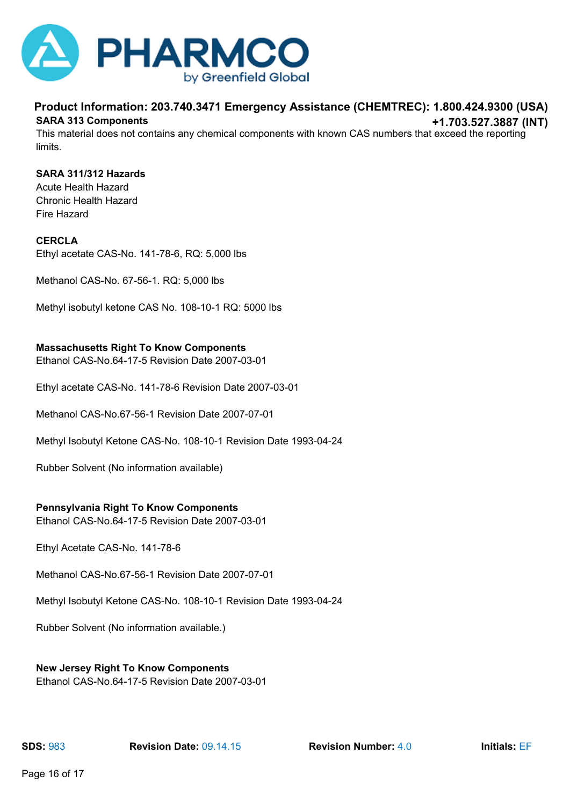

#### **Product Information: 203.740.3471 Emergency Assistance (CHEMTREC): 1.800.424.9300 (USA) +1.703.527.3887 (INT) SARA 313 Components**

This material does not contains any chemical components with known CAS numbers that exceed the reporting limits.

#### **SARA 311/312 Hazards**

Acute Health Hazard Chronic Health Hazard Fire Hazard

#### **CERCLA**

Ethyl acetate CAS-No. 141-78-6, RQ: 5,000 lbs

Methanol CAS-No. 67-56-1. RQ: 5,000 lbs

Methyl isobutyl ketone CAS No. 108-10-1 RQ: 5000 lbs

#### **Massachusetts Right To Know Components**

Ethanol CAS-No.64-17-5 Revision Date 2007-03-01

Ethyl acetate CAS-No. 141-78-6 Revision Date 2007-03-01

Methanol CAS-No.67-56-1 Revision Date 2007-07-01

Methyl Isobutyl Ketone CAS-No. 108-10-1 Revision Date 1993-04-24

Rubber Solvent (No information available)

#### **Pennsylvania Right To Know Components**

Ethanol CAS-No.64-17-5 Revision Date 2007-03-01

Ethyl Acetate CAS-No. 141-78-6

Methanol CAS-No.67-56-1 Revision Date 2007-07-01

Methyl Isobutyl Ketone CAS-No. 108-10-1 Revision Date 1993-04-24

Rubber Solvent (No information available.)

#### **New Jersey Right To Know Components**

Ethanol CAS-No.64-17-5 Revision Date 2007-03-01